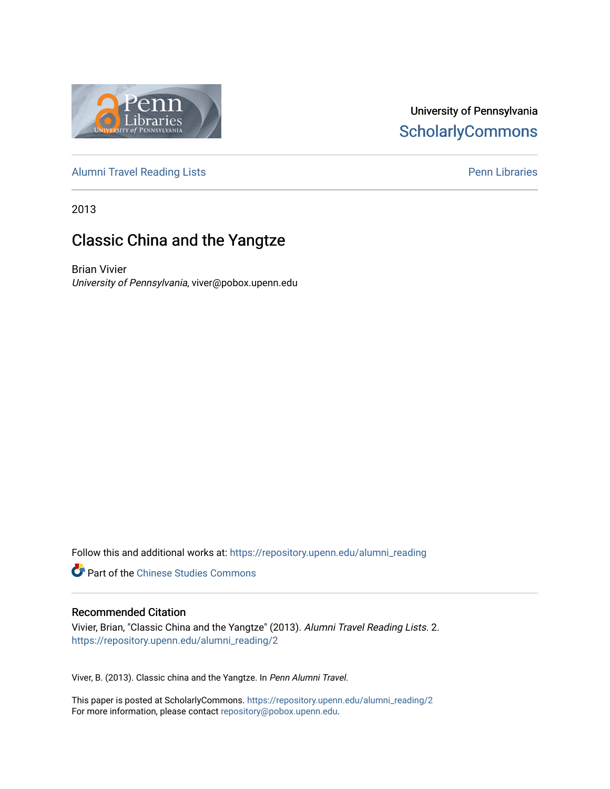

## University of Pennsylvania **ScholarlyCommons**

[Alumni Travel Reading Lists](https://repository.upenn.edu/alumni_reading) **Pennish Containers** [Penn Libraries](https://repository.upenn.edu/library) **Pennish Containers** 

2013

# Classic China and the Yangtze

Brian Vivier University of Pennsylvania, viver@pobox.upenn.edu

Follow this and additional works at: [https://repository.upenn.edu/alumni\\_reading](https://repository.upenn.edu/alumni_reading?utm_source=repository.upenn.edu%2Falumni_reading%2F2&utm_medium=PDF&utm_campaign=PDFCoverPages)

**P** Part of the [Chinese Studies Commons](http://network.bepress.com/hgg/discipline/1081?utm_source=repository.upenn.edu%2Falumni_reading%2F2&utm_medium=PDF&utm_campaign=PDFCoverPages)

#### Recommended Citation

Vivier, Brian, "Classic China and the Yangtze" (2013). Alumni Travel Reading Lists. 2. [https://repository.upenn.edu/alumni\\_reading/2](https://repository.upenn.edu/alumni_reading/2?utm_source=repository.upenn.edu%2Falumni_reading%2F2&utm_medium=PDF&utm_campaign=PDFCoverPages)

Viver, B. (2013). Classic china and the Yangtze. In Penn Alumni Travel.

This paper is posted at ScholarlyCommons. [https://repository.upenn.edu/alumni\\_reading/2](https://repository.upenn.edu/alumni_reading/2)  For more information, please contact [repository@pobox.upenn.edu.](mailto:repository@pobox.upenn.edu)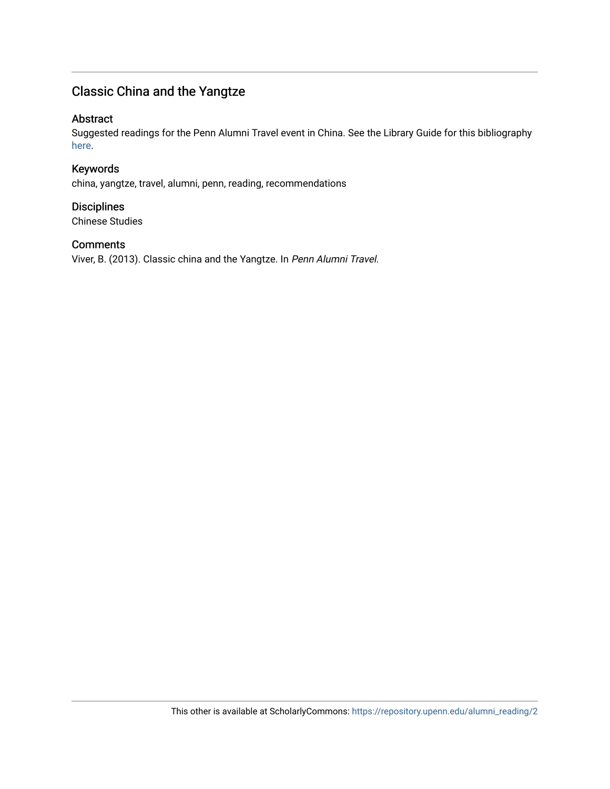# Classic China and the Yangtze

### Abstract

Suggested readings for the Penn Alumni Travel event in China. See the Library Guide for this bibliography [here](http://guides.library.upenn.edu/aecontent.php?pid=507381&sid=4194752).

Keywords china, yangtze, travel, alumni, penn, reading, recommendations

**Disciplines** Chinese Studies

#### **Comments**

Viver, B. (2013). Classic china and the Yangtze. In Penn Alumni Travel.